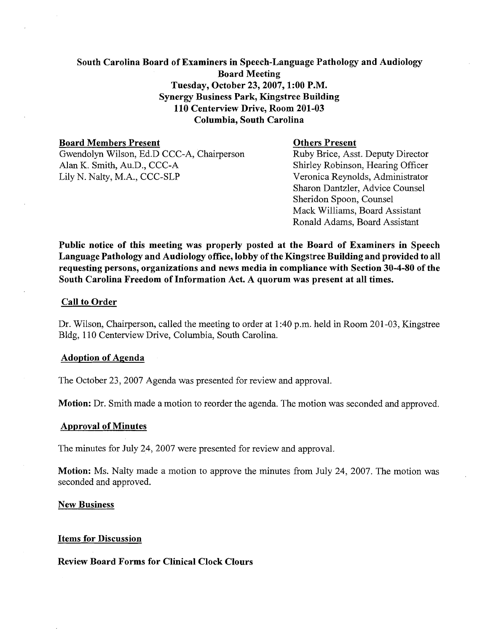# South Carolina Board of Examiners in Speech-Language Pathology and Audiology Board Meeting Tuesday, October 23, 2007, 1:00 P.M. Synergy Business Park, Kingstree Building 110 Centerview Drive, Room 201-03 Columbia, South Carolina

**Board Members Present**<br>
Gwendolyn Wilson, Ed.D CCC-A, Chairperson<br>
Ruby Brice, Asst. Deputy Director Gwendolyn Wilson, Ed.D CCC-A, Chairperson<br>Alan K. Smith, Au.D., CCC-A Alan K. Smith, Au.D., CCC-A<br>
Lily N. Nalty, M.A., CCC-SLP<br>
Veronica Reynolds, Administrator

Veronica Reynolds, Administrator Sharon Dantzler, Advice Counsel Sheridon Spoon, Counsel Mack Williams, Board Assistant Ronald Adarns, Board Assistant

Public notice of this meeting was properly posted at the Board of Examiners in Speech Language Pathology and Audiology office, lobby of the Kingstree Building and provided to all requesting persons, organizations and news media in compliance with Section 30-4-80 of the South Carolina Freedom of Information Act. A quorum was present at all times.

# Call to Order

Dr. Wilson, Chairperson, called the meeting to order at 1 :40 p.m. held in Room 201 -03, Kingstree Bldg, 1 10 Centerview Drive, Columbia, South Carolina.

### Adoption of Agenda

The October 23, 2007 Agenda was presented for review and approval.

Motion: Dr. Smith made a motion to reorder the agenda. The motion was seconded and approved.

### Approval of Minutes

The minutes for July 24, 2007 were presented for review and approval.

Motion: Ms. Nalty made a motion to approve the minutes from July 24, 2007. The motion was seconded and approved.

### New Business

### Items for Discussion

# Review Board Forms for Clinical Clock Clours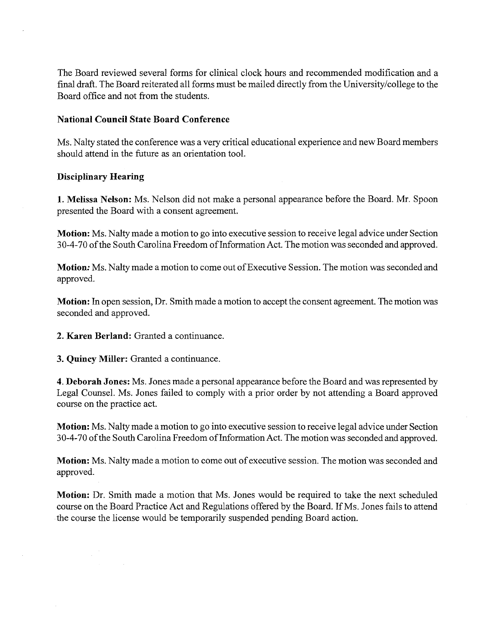The Board reviewed several forms for clinical clock hours and recommended modification and a final draft. The Board reiterated all forms must be mailed directly from the University/college to the Board office and not from the students.

# **National Council State Board Conference**

Ms. Nalty stated the conference was a very critical educational experience and new Board members should attend in the future as an orientation tool.

# **Disciplinary Hearing**

**1. Melissa Nelson:** Ms. Nelson did not make a personal appearance before the Board. Mr. Spoon presented the Board with a consent agreement.

**Motion:** Ms. Nalty made a motion to go into executive session to receive legal advice under Section 30-4-70 of the South Carolina Freedom of Information Act. The motion was seconded and approved.

**Motion:** Ms. Nalty made a motion to come out of Executive Session. The motion was seconded and approved.

**Motion:** In open session, Dr. Smith made a motion to accept the consent agreement. The motion was seconded and approved.

**2. Karen Berland:** Granted a continuance.

**3. Quincy Miller:** Granted a continuance.

**4. Deborah Jones:** Ms. Jones made apersonal appearance before the Board and was represented by Legal Counsel. Ms. Jones failed to comply with a prior order by not attending a Board approved course on the practice act.

**Motion:** Ms. Nalty made a motion to go into executive session to receive legal advice under Section 30-4-70 of the South Carolina Freedom of Information Act. The motion was seconded and approved.

**Motion:** Ms. Nalty made a motion to come out of executive session. The motion was seconded and approved.

**Motion:** Dr. Smith made a motion that Ms. Jones would be required to take the next scheduled course on the Board Practice Act and Regulations offered by the Board. If Ms. Jones fails to attend the course the license would be temporarily suspended pending Board action.